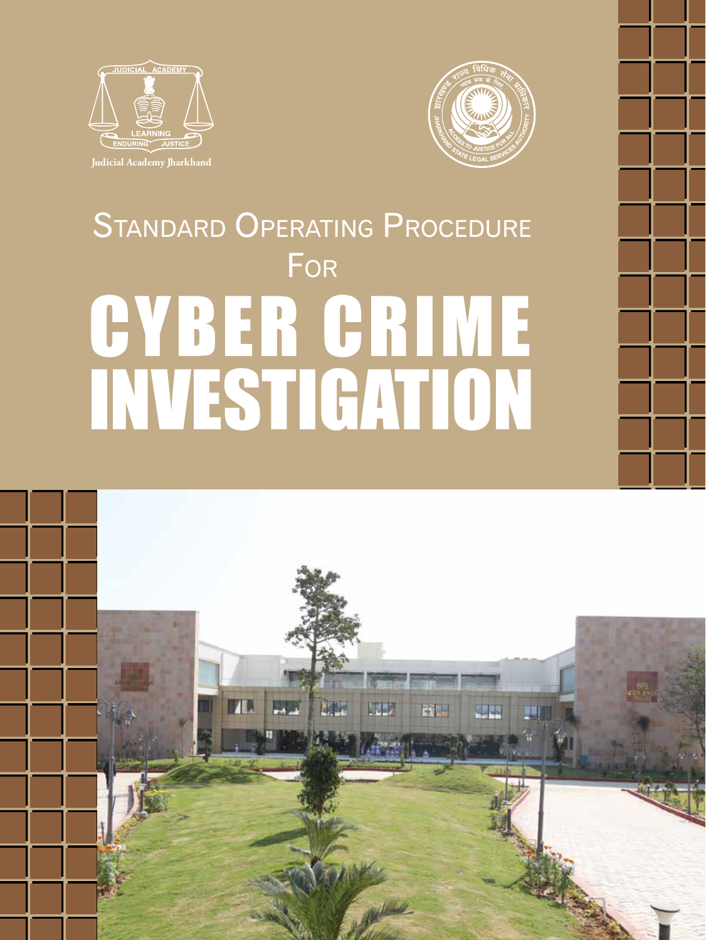



# STANDARD OPERATING PROCEDURE FOR GYBER GRIME INVESTIGATION

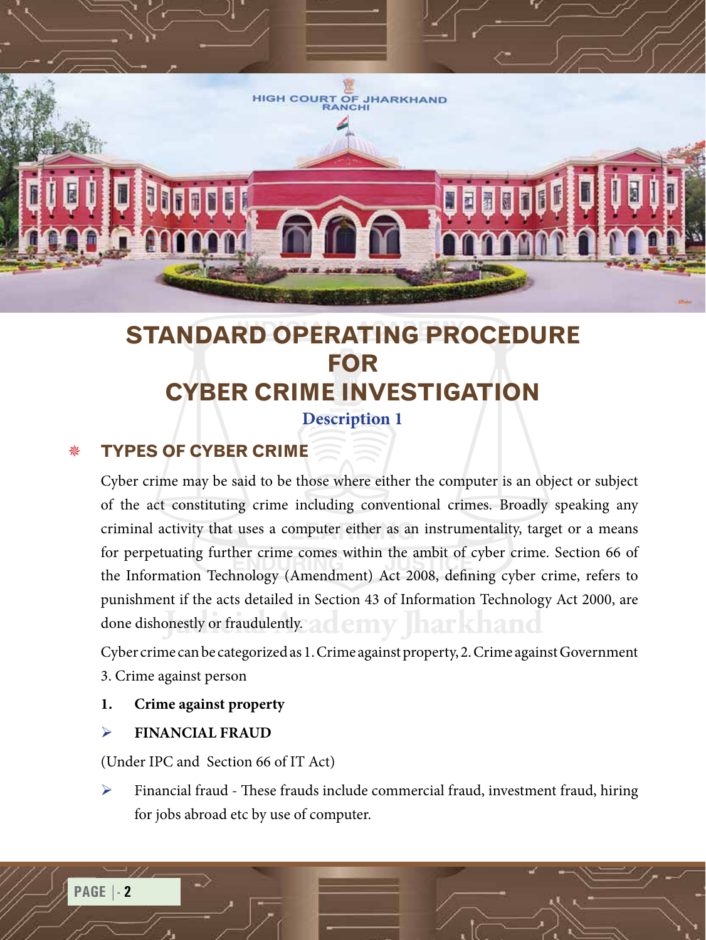

# **STANDARD OPERATING PROCEDURE FOR CYBER CRIME INVESTIGATION**

#### **Description 1**

## **TYPES OF CYBER CRIME**

done dishonestly or fraudulently. ad emy Jharkhand Cyber crime may be said to be those where either the computer is an object or subject of the act constituting crime including conventional crimes. Broadly speaking any criminal activity that uses a computer either as an instrumentality, target or a means for perpetuating further crime comes within the ambit of cyber crime. Section 66 of the Information Technology (Amendment) Act 2008, defining cyber crime, refers to punishment if the acts detailed in Section 43 of Information Technology Act 2000, are

Cyber crime can be categorized as 1. Crime against property, 2. Crime against Government 3. Crime against person

#### **1. Crime against property**

#### ¾ **FINANCIAL FRAUD**

(Under IPC and Section 66 of IT Act)

Financial fraud - These frauds include commercial fraud, investment fraud, hiring for jobs abroad etc by use of computer.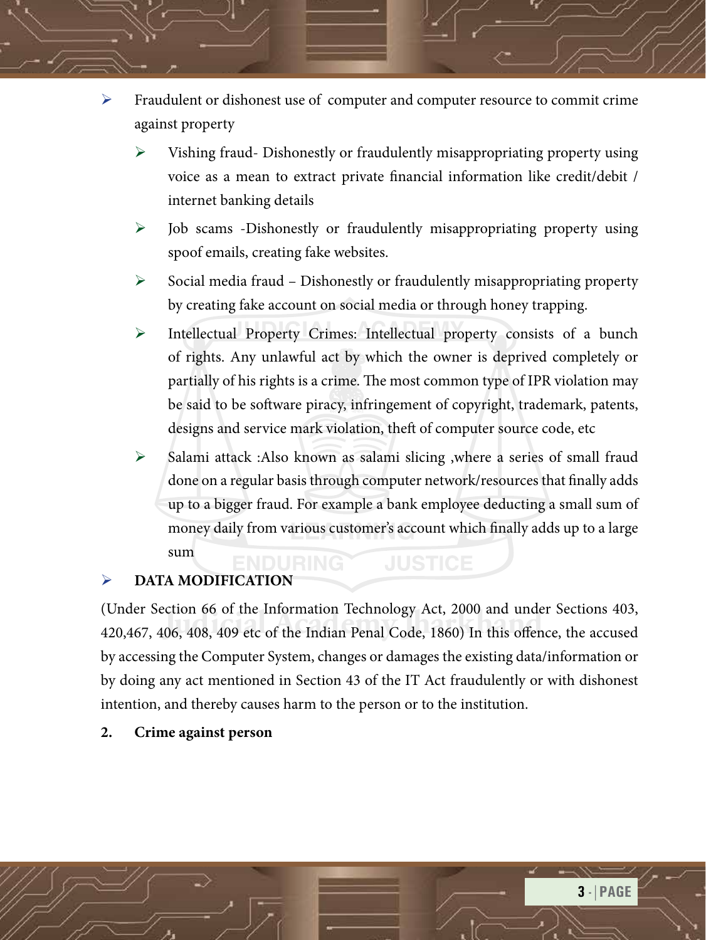- Fraudulent or dishonest use of computer and computer resource to commit crime against property
	- $\triangleright$  Vishing fraud-Dishonestly or fraudulently misappropriating property using voice as a mean to extract private financial information like credit/debit / internet banking details
	- $\triangleright$  Job scams -Dishonestly or fraudulently misappropriating property using spoof emails, creating fake websites.
	- $\triangleright$  Social media fraud Dishonestly or fraudulently misappropriating property by creating fake account on social media or through honey trapping.
	- ¾ Intellectual Property Crimes: Intellectual property consists of a bunch of rights. Any unlawful act by which the owner is deprived completely or partially of his rights is a crime. The most common type of IPR violation may be said to be software piracy, infringement of copyright, trademark, patents, designs and service mark violation, theft of computer source code, etc
	- ¾ Salami attack :Also known as salami slicing ,where a series of small fraud done on a regular basis through computer network/resources that finally adds up to a bigger fraud. For example a bank employee deducting a small sum of money daily from various customer's account which finally adds up to a large sum **JUSTICE**

#### ¾ **DATA MODIFICATION**

(Onder section 66 of the Information Technology Act, 2000 and under sections 405,<br>420,467, 406, 408, 409 etc of the Indian Penal Code, 1860) In this offence, the accused (Under Section 66 of the Information Technology Act, 2000 and under Sections 403, by accessing the Computer System, changes or damages the existing data/information or by doing any act mentioned in Section 43 of the IT Act fraudulently or with dishonest intention, and thereby causes harm to the person or to the institution.

#### **2. Crime against person**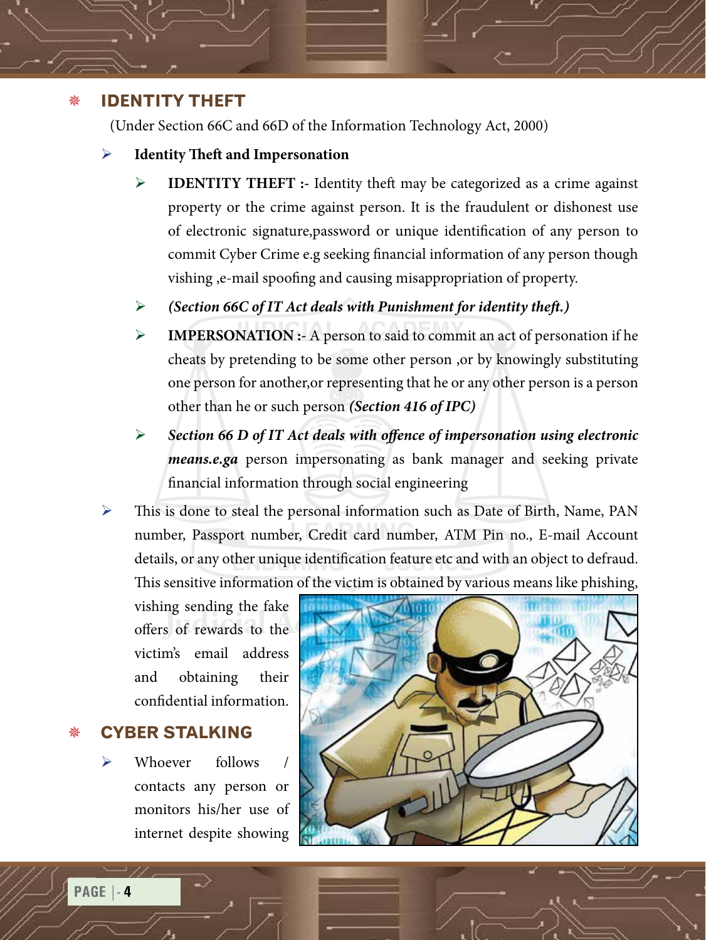#### **Identity theft**

(Under Section 66C and 66D of the Information Technology Act, 2000)

- ¾ **Identity Theft and Impersonation**
	- **IDENTITY THEFT :-** Identity theft may be categorized as a crime against property or the crime against person. It is the fraudulent or dishonest use of electronic signature,password or unique identification of any person to commit Cyber Crime e.g seeking financial information of any person though vishing ,e-mail spoofing and causing misappropriation of property.
	- ¾ *(Section 66C of IT Act deals with Punishment for identity theft.)*
	- ¾ **IMPERSONATION :-** A person to said to commit an act of personation if he cheats by pretending to be some other person ,or by knowingly substituting one person for another,or representing that he or any other person is a person other than he or such person *(Section 416 of IPC)*
	- ¾ *Section 66 D of IT Act deals with offence of impersonation using electronic means.e.ga* person impersonating as bank manager and seeking private financial information through social engineering
- This is done to steal the personal information such as Date of Birth, Name, PAN number, Passport number, Credit card number, ATM Pin no., E-mail Account details, or any other unique identification feature etc and with an object to defraud. This sensitive information of the victim is obtained by various means like phishing,

vishing sending the fake victim's email address and obtaining their confidential information.

## **Cyber Stalking**

Whoever follows contacts any person or monitors his/her use of internet despite showing

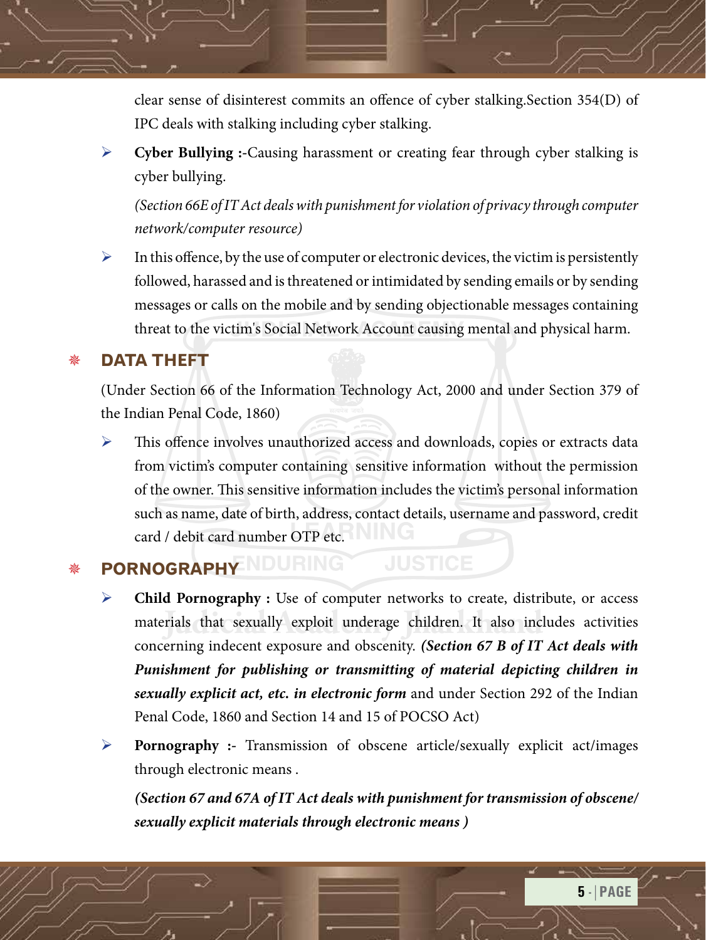clear sense of disinterest commits an offence of cyber stalking.Section 354(D) of IPC deals with stalking including cyber stalking.

¾ **Cyber Bullying :-**Causing harassment or creating fear through cyber stalking is cyber bullying.

*(Section 66E of IT Act deals with punishment for violation of privacy through computer network/computer resource)*

 $\triangleright$  In this offence, by the use of computer or electronic devices, the victim is persistently followed, harassed and is threatened or intimidated by sending emails or by sending messages or calls on the mobile and by sending objectionable messages containing threat to the victim's Social Network Account causing mental and physical harm.

## **Data theft**

(Under Section 66 of the Information Technology Act, 2000 and under Section 379 of the Indian Penal Code, 1860)

¾ This offence involves unauthorized access and downloads, copies or extracts data from victim's computer containing sensitive information without the permission of the owner. This sensitive information includes the victim's personal information such as name, date of birth, address, contact details, username and password, credit card / debit card number OTP etc.

## **PORNOGRAPHY ADURING JUSTICE**

- materials that sexually exploit underage children. It also includes activities **Child Pornography :** Use of computer networks to create, distribute, or access concerning indecent exposure and obscenity. *(Section 67 B of IT Act deals with Punishment for publishing or transmitting of material depicting children in sexually explicit act, etc. in electronic form* and under Section 292 of the Indian Penal Code, 1860 and Section 14 and 15 of POCSO Act)
- ¾ **Pornography :-** Transmission of obscene article/sexually explicit act/images through electronic means .

*(Section 67 and 67A of IT Act deals with punishment for transmission of obscene/ sexually explicit materials through electronic means )*

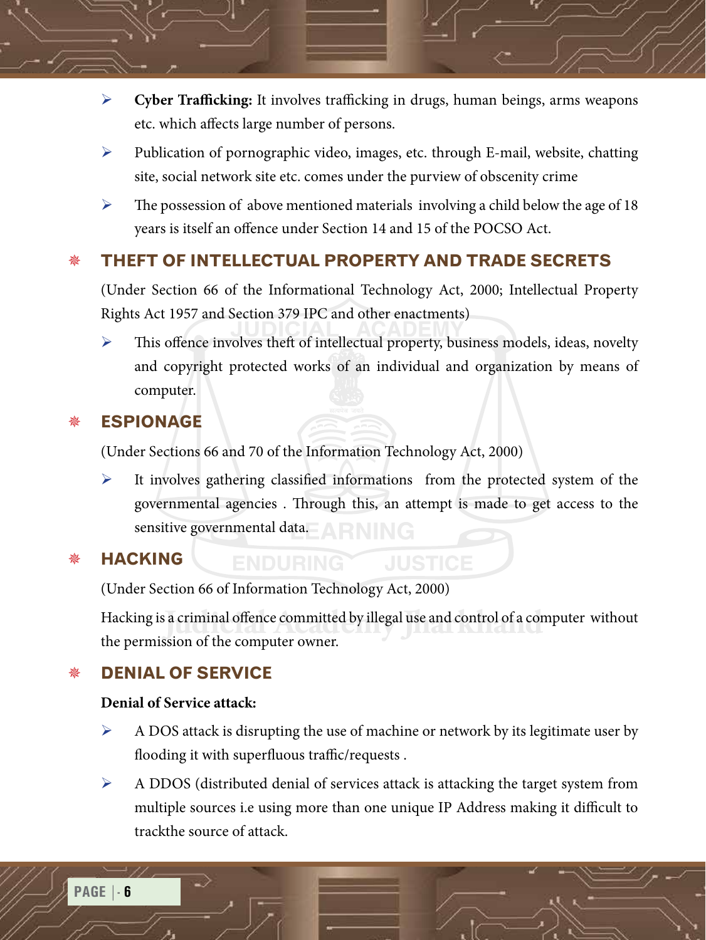- ¾ **Cyber Trafficking:** It involves trafficking in drugs, human beings, arms weapons etc. which affects large number of persons.
- ¾ Publication of pornographic video, images, etc. through E-mail, website, chatting site, social network site etc. comes under the purview of obscenity crime
- $\triangleright$  The possession of above mentioned materials involving a child below the age of 18 years is itself an offence under Section 14 and 15 of the POCSO Act.

## **Theft of Intellectual Property and Trade Secrets**

(Under Section 66 of the Informational Technology Act, 2000; Intellectual Property Rights Act 1957 and Section 379 IPC and other enactments)

 $\triangleright$  This offence involves theft of intellectual property, business models, ideas, novelty and copyright protected works of an individual and organization by means of computer.

#### **Espionage**

(Under Sections 66 and 70 of the Information Technology Act, 2000)

It involves gathering classified informations from the protected system of the governmental agencies . Through this, an attempt is made to get access to the sensitive governmental data. A RNING

#### **Hacking**

(Under Section 66 of Information Technology Act, 2000)

**ENDURING** 

Hacking is a criminal offence committed by illegal use and control of a computer without the permission of the computer owner. the permission of the computer owner.

## **Denial of Service**

#### **Denial of Service attack:**

- ¾ A DOS attack is disrupting the use of machine or network by its legitimate user by flooding it with superfluous traffic/requests .
- ¾ A DDOS (distributed denial of services attack is attacking the target system from multiple sources i.e using more than one unique IP Address making it difficult to trackthe source of attack.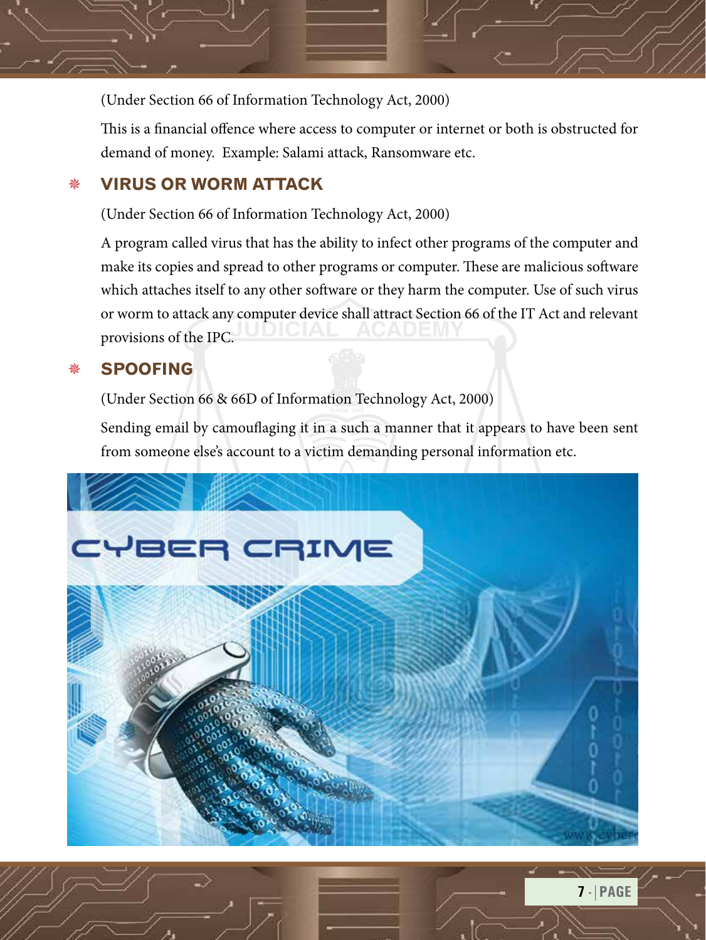

This is a financial offence where access to computer or internet or both is obstructed for demand of money. Example: Salami attack, Ransomware etc.

### **Virus or worm Attack**

(Under Section 66 of Information Technology Act, 2000)

A program called virus that has the ability to infect other programs of the computer and make its copies and spread to other programs or computer. These are malicious software which attaches itself to any other software or they harm the computer. Use of such virus or worm to attack any computer device shall attract Section 66 of the IT Act and relevant provisions of the IPC.

## **Spoofing**

(Under Section 66 & 66D of Information Technology Act, 2000)

Sending email by camouflaging it in a such a manner that it appears to have been sent from someone else's account to a victim demanding personal information etc.

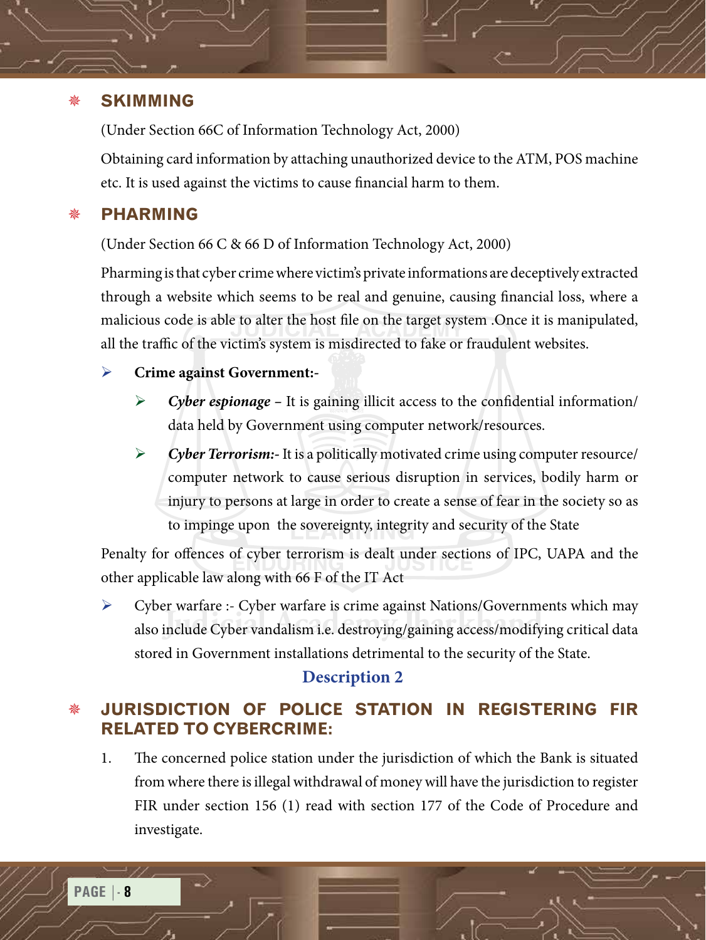#### **Skimming**

(Under Section 66C of Information Technology Act, 2000)

Obtaining card information by attaching unauthorized device to the ATM, POS machine etc. It is used against the victims to cause financial harm to them.

#### **PHarming**

(Under Section 66 C & 66 D of Information Technology Act, 2000)

Pharming is that cyber crime where victim's private informations are deceptively extracted through a website which seems to be real and genuine, causing financial loss, where a malicious code is able to alter the host file on the target system .Once it is manipulated, all the traffic of the victim's system is misdirected to fake or fraudulent websites.

#### ¾ **Crime against Government:-**

- ¾ *Cyber espionage* It is gaining illicit access to the confidential information/ data held by Government using computer network/resources.
- ¾ *Cyber Terrorism:-* It is a politically motivated crime using computer resource/ computer network to cause serious disruption in services, bodily harm or injury to persons at large in order to create a sense of fear in the society so as to impinge upon the sovereignty, integrity and security of the State

Penalty for offences of cyber terrorism is dealt under sections of IPC, UAPA and the other applicable law along with 66 F of the IT Act

**Judicial Academy Jharkhand** also include Cyber vandalism i.e. destroying/gaining access/modifying critical data ¾ Cyber warfare :- Cyber warfare is crime against Nations/Governments which may stored in Government installations detrimental to the security of the State.

#### **Description 2**

## **JURISDICTION OF POLICE STATION IN REGISTERING FIR RELATED TO CYBERCRIME:**

1. The concerned police station under the jurisdiction of which the Bank is situated from where there is illegal withdrawal of money will have the jurisdiction to register FIR under section 156 (1) read with section 177 of the Code of Procedure and investigate.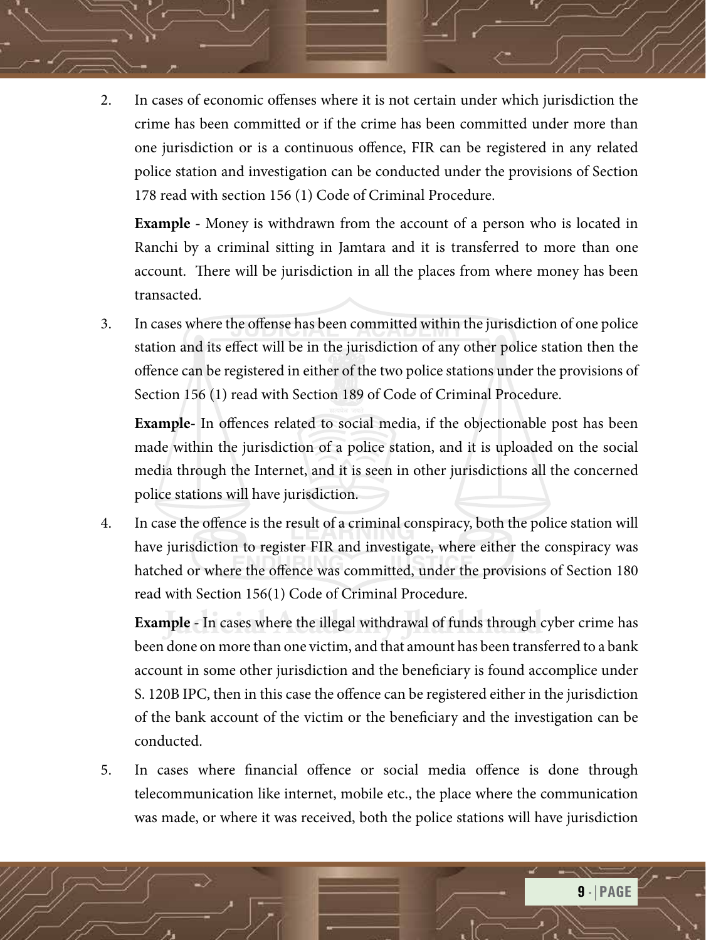2. In cases of economic offenses where it is not certain under which jurisdiction the crime has been committed or if the crime has been committed under more than one jurisdiction or is a continuous offence, FIR can be registered in any related police station and investigation can be conducted under the provisions of Section 178 read with section 156 (1) Code of Criminal Procedure.

**Example -** Money is withdrawn from the account of a person who is located in Ranchi by a criminal sitting in Jamtara and it is transferred to more than one account. There will be jurisdiction in all the places from where money has been transacted.

3. In cases where the offense has been committed within the jurisdiction of one police station and its effect will be in the jurisdiction of any other police station then the offence can be registered in either of the two police stations under the provisions of Section 156 (1) read with Section 189 of Code of Criminal Procedure.

**Example-** In offences related to social media, if the objectionable post has been made within the jurisdiction of a police station, and it is uploaded on the social media through the Internet, and it is seen in other jurisdictions all the concerned police stations will have jurisdiction.

4. In case the offence is the result of a criminal conspiracy, both the police station will have jurisdiction to register FIR and investigate, where either the conspiracy was hatched or where the offence was committed, under the provisions of Section 180 read with Section 156(1) Code of Criminal Procedure.

**Example -** In cases where the illegal withdrawal of funds through cyber crime has been done on more than one victim, and that amount has been transferred to a bank account in some other jurisdiction and the beneficiary is found accomplice under S. 120B IPC, then in this case the offence can be registered either in the jurisdiction of the bank account of the victim or the beneficiary and the investigation can be conducted.

5. In cases where financial offence or social media offence is done through telecommunication like internet, mobile etc., the place where the communication was made, or where it was received, both the police stations will have jurisdiction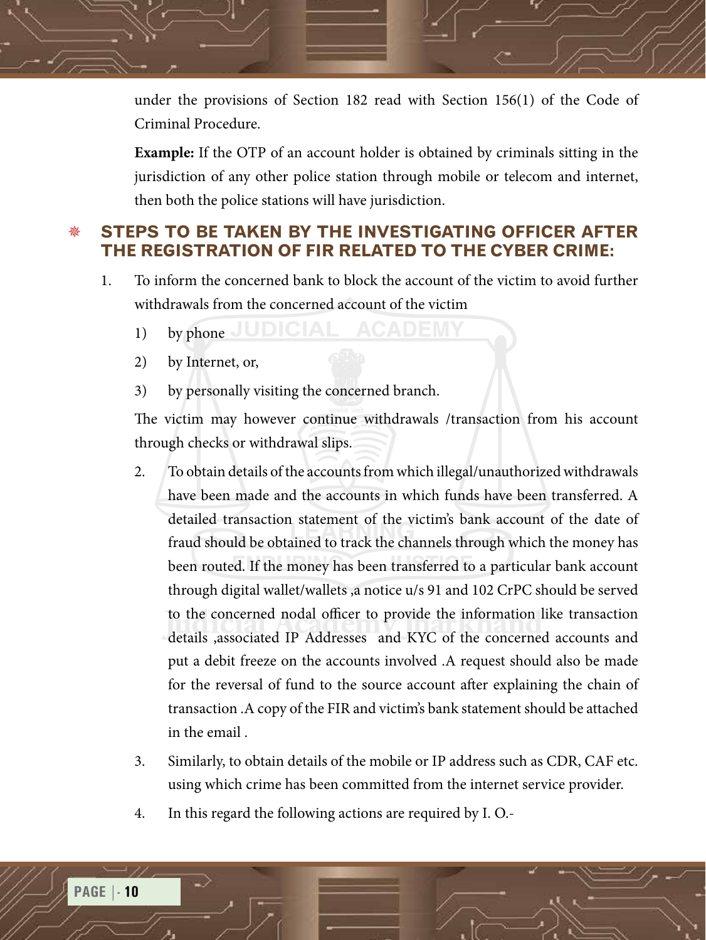under the provisions of Section 182 read with Section 156(1) of the Code of Criminal Procedure.

**Example:** If the OTP of an account holder is obtained by criminals sitting in the jurisdiction of any other police station through mobile or telecom and internet, then both the police stations will have jurisdiction.

#### **STEPS TO BE TAKEN BY THE INVESTIGATING OFFICER AFTER THE REGISTRATION OF FIR RELATED TO THE CYBER CRIME:**

- 1. To inform the concerned bank to block the account of the victim to avoid further withdrawals from the concerned account of the victim
	- 1) by phone JUDICIAL ACADEMY
	- 2) by Internet, or,
	- 3) by personally visiting the concerned branch.

The victim may however continue withdrawals /transaction from his account through checks or withdrawal slips.

- to the concerned nodal officer to provide the information like transaction<br>details ,associated IP Addresses and KYC of the concerned accounts and 2. To obtain details of the accounts from which illegal/unauthorized withdrawals have been made and the accounts in which funds have been transferred. A detailed transaction statement of the victim's bank account of the date of fraud should be obtained to track the channels through which the money has been routed. If the money has been transferred to a particular bank account through digital wallet/wallets ,a notice u/s 91 and 102 CrPC should be served to the concerned nodal officer to provide the information like transaction put a debit freeze on the accounts involved .A request should also be made for the reversal of fund to the source account after explaining the chain of transaction .A copy of the FIR and victim's bank statement should be attached in the email .
- 3. Similarly, to obtain details of the mobile or IP address such as CDR, CAF etc. using which crime has been committed from the internet service provider.
- 4. In this regard the following actions are required by I. O.-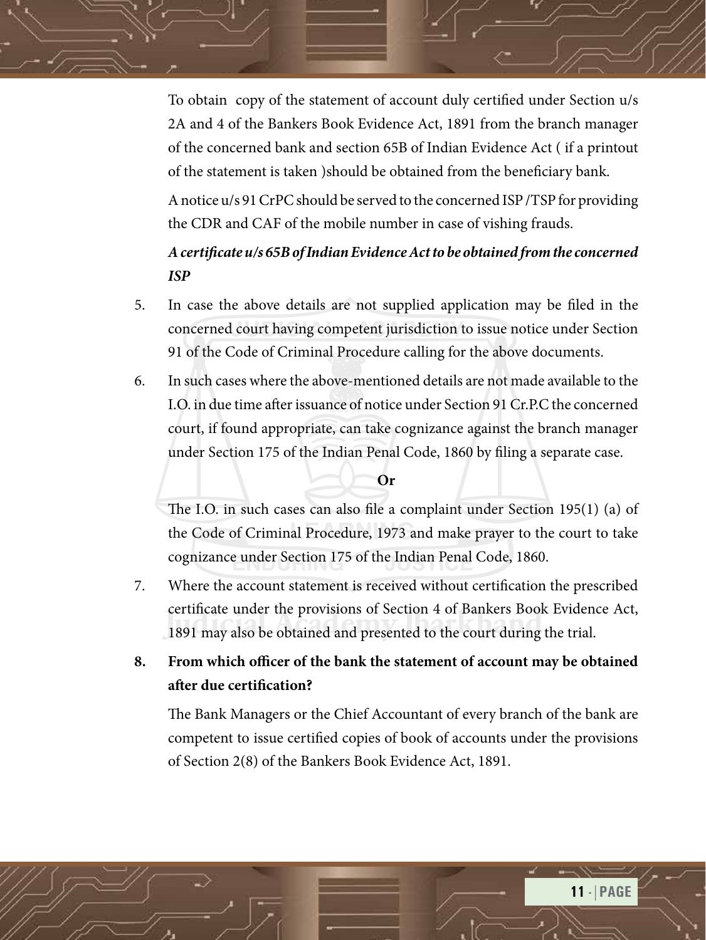To obtain copy of the statement of account duly certified under Section u/s 2A and 4 of the Bankers Book Evidence Act, 1891 from the branch manager of the concerned bank and section 65B of Indian Evidence Act ( if a printout of the statement is taken )should be obtained from the beneficiary bank.

A notice u/s 91 CrPC should be served to the concerned ISP /TSP for providing the CDR and CAF of the mobile number in case of vishing frauds.

## *A certificate u/s 65B of Indian Evidence Act to be obtained from the concerned ISP*

- 5. In case the above details are not supplied application may be filed in the concerned court having competent jurisdiction to issue notice under Section 91 of the Code of Criminal Procedure calling for the above documents.
- 6. In such cases where the above-mentioned details are not made available to the I.O. in due time after issuance of notice under Section 91 Cr.P.C the concerned court, if found appropriate, can take cognizance against the branch manager under Section 175 of the Indian Penal Code, 1860 by filing a separate case.

#### **Or**

The I.O. in such cases can also file a complaint under Section 195(1) (a) of the Code of Criminal Procedure, 1973 and make prayer to the court to take cognizance under Section 175 of the Indian Penal Code, 1860.

- Lettincate under the provisions or section 4 or Bankers Book Eviden<br>1891 may also be obtained and presented to the court during the trial. 7. Where the account statement is received without certification the prescribed certificate under the provisions of Section 4 of Bankers Book Evidence Act,
- **8. From which officer of the bank the statement of account may be obtained after due certification?**

The Bank Managers or the Chief Accountant of every branch of the bank are competent to issue certified copies of book of accounts under the provisions of Section 2(8) of the Bankers Book Evidence Act, 1891.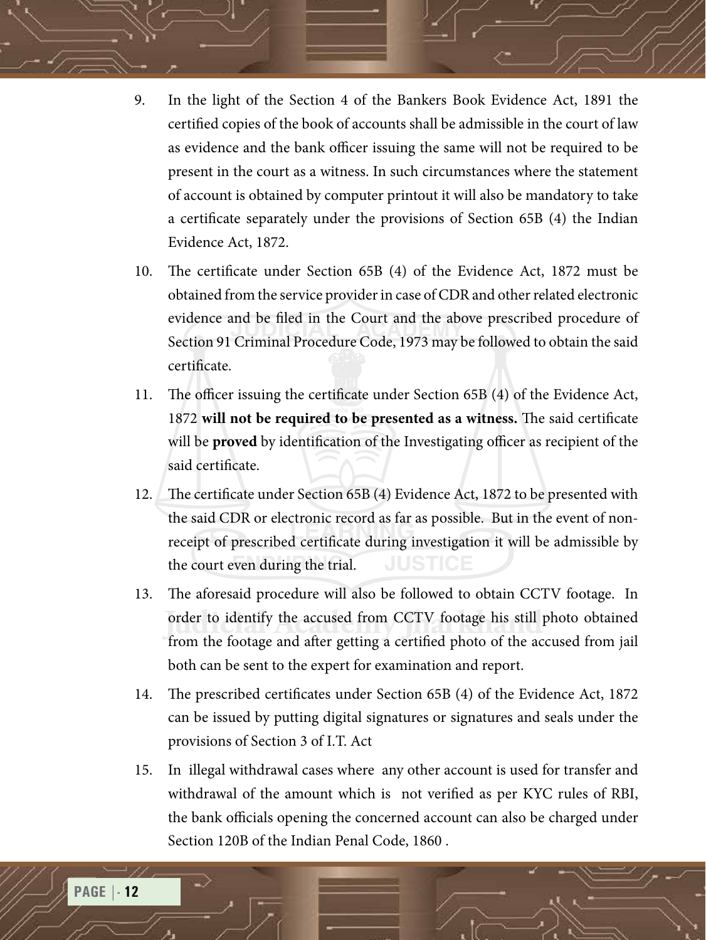- 9. In the light of the Section 4 of the Bankers Book Evidence Act, 1891 the certified copies of the book of accounts shall be admissible in the court of law as evidence and the bank officer issuing the same will not be required to be present in the court as a witness. In such circumstances where the statement of account is obtained by computer printout it will also be mandatory to take a certificate separately under the provisions of Section 65B (4) the Indian Evidence Act, 1872.
- 10. The certificate under Section 65B (4) of the Evidence Act, 1872 must be obtained from the service provider in case of CDR and other related electronic evidence and be filed in the Court and the above prescribed procedure of Section 91 Criminal Procedure Code, 1973 may be followed to obtain the said certificate.
- 11. The officer issuing the certificate under Section 65B (4) of the Evidence Act, 1872 **will not be required to be presented as a witness.** The said certificate will be **proved** by identification of the Investigating officer as recipient of the said certificate.
- 12. The certificate under Section 65B (4) Evidence Act, 1872 to be presented with the said CDR or electronic record as far as possible. But in the event of nonreceipt of prescribed certificate during investigation it will be admissible by the court even during the trial.
- order to identify the accused from CCTV footage his still photo obtained<br>from the footage and efter getting a certified photo of the accused from iail 13. The aforesaid procedure will also be followed to obtain CCTV footage. In from the footage and after getting a certified photo of the accused from jail both can be sent to the expert for examination and report.
- 14. The prescribed certificates under Section 65B (4) of the Evidence Act, 1872 can be issued by putting digital signatures or signatures and seals under the provisions of Section 3 of I.T. Act
- 15. In illegal withdrawal cases where any other account is used for transfer and withdrawal of the amount which is not verified as per KYC rules of RBI, the bank officials opening the concerned account can also be charged under Section 120B of the Indian Penal Code, 1860 .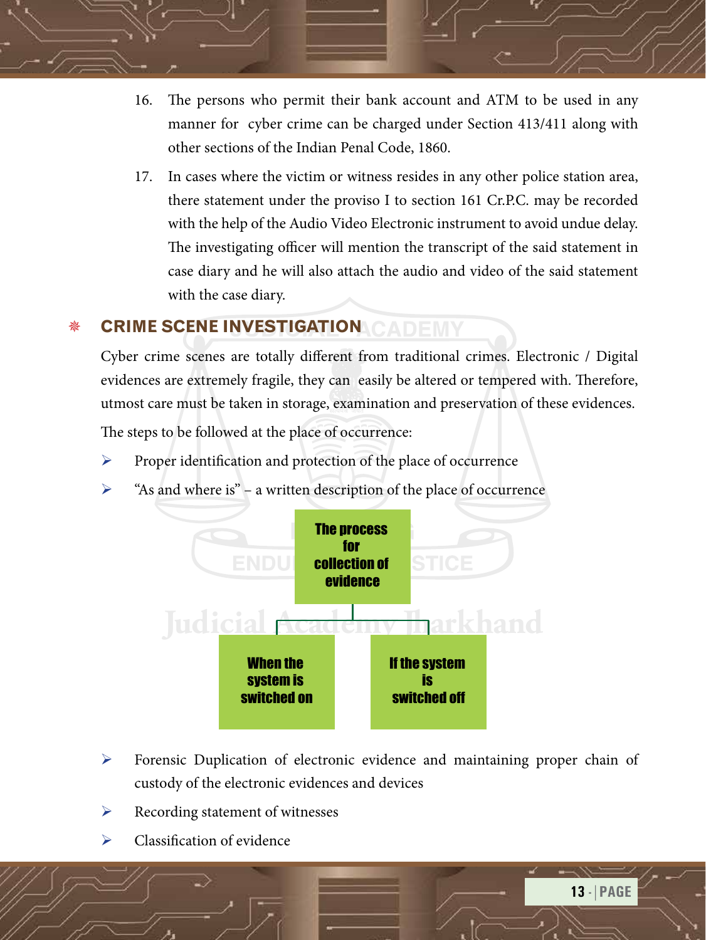- 16. The persons who permit their bank account and ATM to be used in any manner for cyber crime can be charged under Section 413/411 along with other sections of the Indian Penal Code, 1860.
- 17. In cases where the victim or witness resides in any other police station area, there statement under the proviso I to section 161 Cr.P.C. may be recorded with the help of the Audio Video Electronic instrument to avoid undue delay. The investigating officer will mention the transcript of the said statement in case diary and he will also attach the audio and video of the said statement with the case diary.

## **CRIME SCENE INVESTIGATION CADEMY**

Cyber crime scenes are totally different from traditional crimes. Electronic / Digital evidences are extremely fragile, they can easily be altered or tempered with. Therefore, utmost care must be taken in storage, examination and preservation of these evidences.

The steps to be followed at the place of occurrence:

- $\triangleright$  Proper identification and protection of the place of occurrence
- ¾ "As and where is" a written description of the place of occurrence



- ¾ Forensic Duplication of electronic evidence and maintaining proper chain of custody of the electronic evidences and devices
- $\triangleright$  Recording statement of witnesses
- Classification of evidence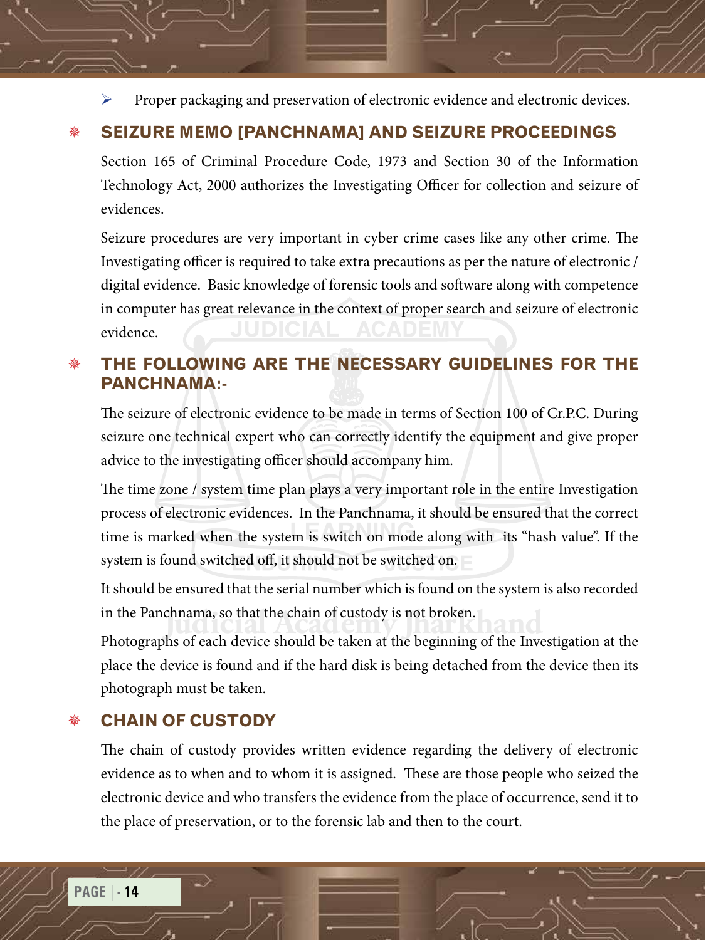Proper packaging and preservation of electronic evidence and electronic devices.

## **SEIZURE MEMO [PANCHNAMA] AND SEIZURE PROCEEDINGS**

Section 165 of Criminal Procedure Code, 1973 and Section 30 of the Information Technology Act, 2000 authorizes the Investigating Officer for collection and seizure of evidences.

Seizure procedures are very important in cyber crime cases like any other crime. The Investigating officer is required to take extra precautions as per the nature of electronic / digital evidence. Basic knowledge of forensic tools and software along with competence in computer has great relevance in the context of proper search and seizure of electronic evidence.

## **THE FOLLOWING ARE THE NECESSARY GUIDELINES FOR THE PANCHNAMA:-**

The seizure of electronic evidence to be made in terms of Section 100 of Cr.P.C. During seizure one technical expert who can correctly identify the equipment and give proper advice to the investigating officer should accompany him.

The time zone / system time plan plays a very important role in the entire Investigation process of electronic evidences. In the Panchnama, it should be ensured that the correct time is marked when the system is switch on mode along with its "hash value". If the system is found switched off, it should not be switched on.

in the Panchnama, so that the chain of custody is not broken.<br>Photographs of each device should be taken at the beginning of the Inv It should be ensured that the serial number which is found on the system is also recorded

Photographs of each device should be taken at the beginning of the Investigation at the place the device is found and if the hard disk is being detached from the device then its photograph must be taken.

#### **CHAIN OF CUSTODY**

The chain of custody provides written evidence regarding the delivery of electronic evidence as to when and to whom it is assigned. These are those people who seized the electronic device and who transfers the evidence from the place of occurrence, send it to the place of preservation, or to the forensic lab and then to the court.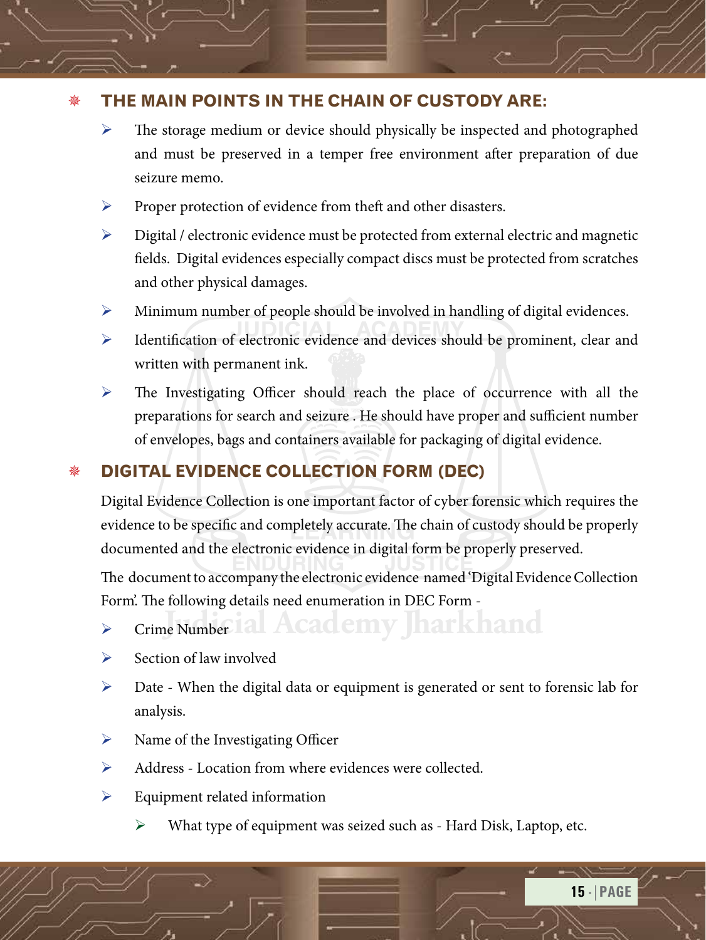## **THE MAIN POINTS IN THE CHAIN OF CUSTODY ARE:**

- ¾ The storage medium or device should physically be inspected and photographed and must be preserved in a temper free environment after preparation of due seizure memo.
- ¾ Proper protection of evidence from theft and other disasters.
- $\triangleright$  Digital / electronic evidence must be protected from external electric and magnetic fields. Digital evidences especially compact discs must be protected from scratches and other physical damages.
- ¾ Minimum number of people should be involved in handling of digital evidences.
- ¾ Identification of electronic evidence and devices should be prominent, clear and written with permanent ink.
- $\triangleright$  The Investigating Officer should reach the place of occurrence with all the preparations for search and seizure . He should have proper and sufficient number of envelopes, bags and containers available for packaging of digital evidence.

## **DIGITAL EVIDENCE COLLECTION FORM (DEC)**

Digital Evidence Collection is one important factor of cyber forensic which requires the evidence to be specific and completely accurate. The chain of custody should be properly documented and the electronic evidence in digital form be properly preserved.

The document to accompany the electronic evidence named 'Digital Evidence Collection Form'. The following details need enumeration in DEC Form -

- **Judicial Academy Jharkhand** ¾ Crime Number
- $\triangleright$  Section of law involved
- $\triangleright$  Date When the digital data or equipment is generated or sent to forensic lab for analysis.
- $\triangleright$  Name of the Investigating Officer
- ¾ Address Location from where evidences were collected.
- $\triangleright$  Equipment related information
	- $\triangleright$  What type of equipment was seized such as Hard Disk, Laptop, etc.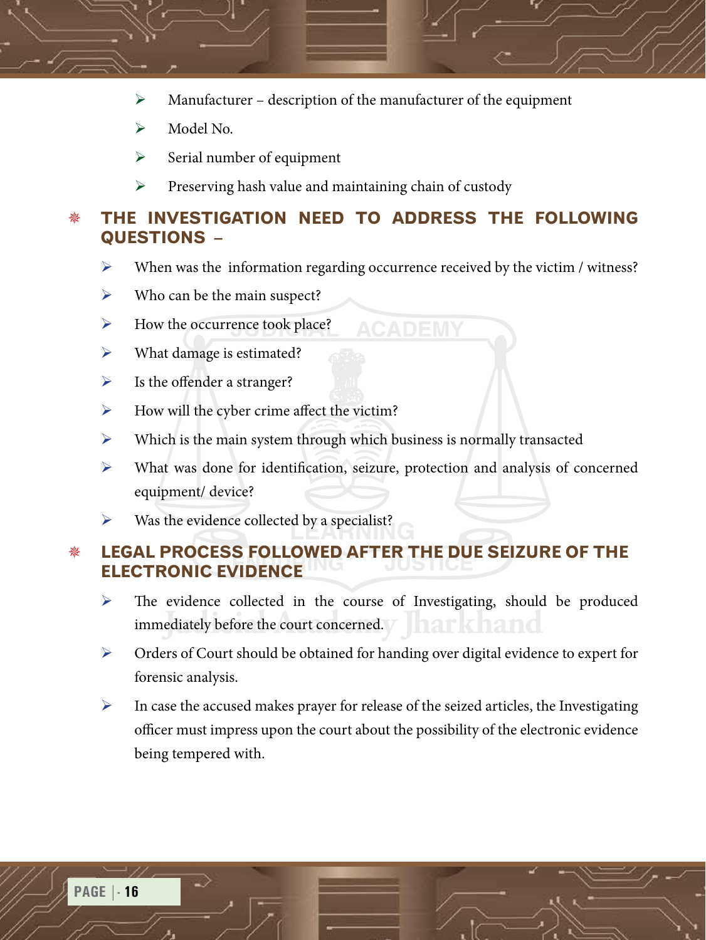- $\triangleright$  Manufacturer description of the manufacturer of the equipment
- $\triangleright$  Model No.
- $\triangleright$  Serial number of equipment
- $\triangleright$  Preserving hash value and maintaining chain of custody

#### **THE INVESTIGATION NEED TO ADDRESS THE FOLLOWING QUESTIONS –**

When was the information regarding occurrence received by the victim / witness?

**ACADEMY** 

- $\triangleright$  Who can be the main suspect?
- $\triangleright$  How the occurrence took place?
- $\triangleright$  What damage is estimated?
- $\triangleright$  Is the offender a stranger?
- $\blacktriangleright$  How will the cyber crime affect the victim?
- $\triangleright$  Which is the main system through which business is normally transacted
- ¾ What was done for identification, seizure, protection and analysis of concerned equipment/ device?
- $\triangleright$  Was the evidence collected by a specialist?

## **LEGAL PROCESS FOLLOWED AFTER THE DUE SEIZURE OF THE ELECTRONIC EVIDENCE**

- immediately before the court concerned. Jharkhand ¾ The evidence collected in the course of Investigating, should be produced
- ¾ Orders of Court should be obtained for handing over digital evidence to expert for forensic analysis.
- $\triangleright$  In case the accused makes prayer for release of the seized articles, the Investigating officer must impress upon the court about the possibility of the electronic evidence being tempered with.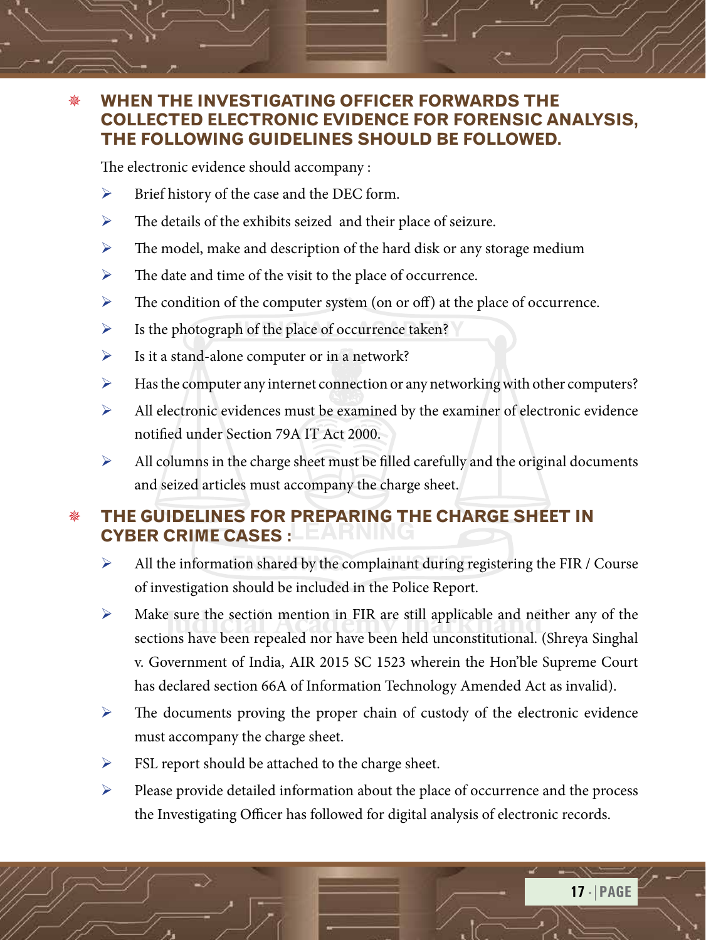#### **WHEN THE INVESTIGATING OFFICER FORWARDS THE COLLECTED ELECTRONIC EVIDENCE FOR FORENSIC ANALYSIS, THE FOLLOWING GUIDELINES SHOULD BE FOLLOWED.**

The electronic evidence should accompany :

- $\triangleright$  Brief history of the case and the DEC form.
- $\triangleright$  The details of the exhibits seized and their place of seizure.
- $\triangleright$  The model, make and description of the hard disk or any storage medium
- $\triangleright$  The date and time of the visit to the place of occurrence.
- $\triangleright$  The condition of the computer system (on or off) at the place of occurrence.
- $\triangleright$  Is the photograph of the place of occurrence taken?
- $\triangleright$  Is it a stand-alone computer or in a network?
- ¾ Has the computer any internet connection or any networking with other computers?
- $\blacktriangleright$  All electronic evidences must be examined by the examiner of electronic evidence notified under Section 79A IT Act 2000.
- $\blacktriangleright$  All columns in the charge sheet must be filled carefully and the original documents and seized articles must accompany the charge sheet.

## **THE GUIDELINES FOR PREPARING THE CHARGE SHEET IN CYBER CRIME CASES :**

- $\triangleright$  All the information shared by the complainant during registering the FIR / Course of investigation should be included in the Police Report.
- **Judicial Make sure the section mention in FIR are still applicable and neither any of the sections have been repealed nor have been held unconstitutional (Shreva Singhal)** sections have been repealed nor have been held unconstitutional. (Shreya Singhal v. Government of India, AIR 2015 SC 1523 wherein the Hon'ble Supreme Court has declared section 66A of Information Technology Amended Act as invalid).
- $\triangleright$  The documents proving the proper chain of custody of the electronic evidence must accompany the charge sheet.
- $\triangleright$  FSL report should be attached to the charge sheet.
- ¾ Please provide detailed information about the place of occurrence and the process the Investigating Officer has followed for digital analysis of electronic records.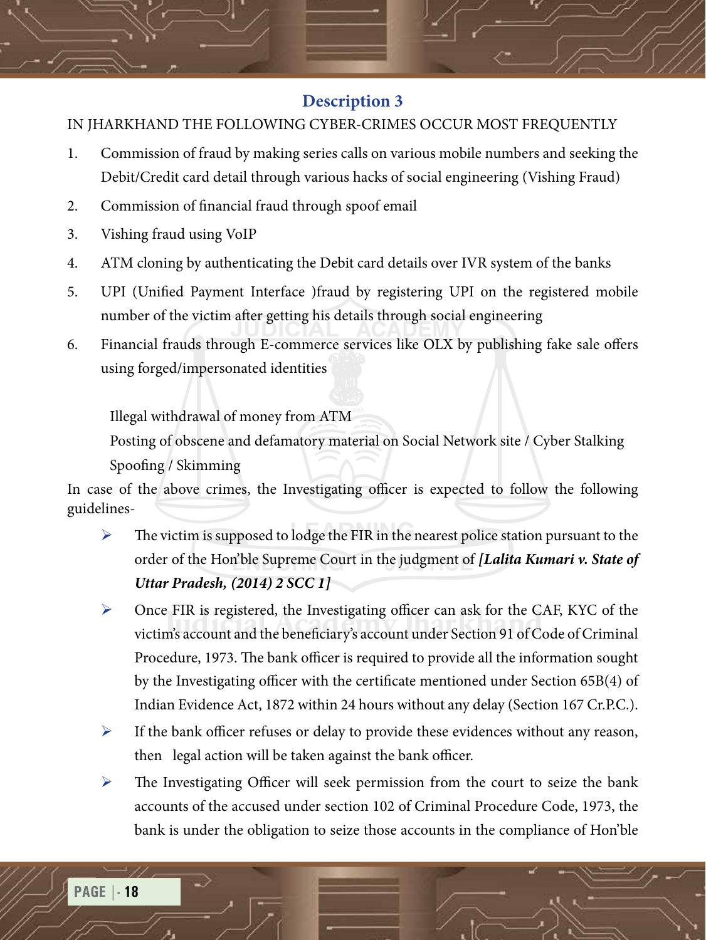#### **Description 3**

#### IN JHARKHAND THE FOLLOWING CYBER-CRIMES OCCUR MOST FREQUENTLY

- 1. Commission of fraud by making series calls on various mobile numbers and seeking the Debit/Credit card detail through various hacks of social engineering (Vishing Fraud)
- 2. Commission of financial fraud through spoof email
- 3. Vishing fraud using VoIP
- 4. ATM cloning by authenticating the Debit card details over IVR system of the banks
- 5. UPI (Unified Payment Interface )fraud by registering UPI on the registered mobile number of the victim after getting his details through social engineering
- 6. Financial frauds through E-commerce services like OLX by publishing fake sale offers using forged/impersonated identities

Illegal withdrawal of money from ATM

Posting of obscene and defamatory material on Social Network site / Cyber Stalking Spoofing / Skimming

In case of the above crimes, the Investigating officer is expected to follow the following guidelines-

- $\triangleright$  The victim is supposed to lodge the FIR in the nearest police station pursuant to the order of the Hon'ble Supreme Court in the judgment of *[Lalita Kumari v. State of Uttar Pradesh, (2014) 2 SCC 1]*
- Unce FIR is registered, the Investigating officer can ask for the CAF, KYC of the<br>victim's account and the beneficiary's account under Section 91 of Code of Criminal  $\triangleright$  Once FIR is registered, the Investigating officer can ask for the CAF, KYC of the Procedure, 1973. The bank officer is required to provide all the information sought by the Investigating officer with the certificate mentioned under Section 65B(4) of Indian Evidence Act, 1872 within 24 hours without any delay (Section 167 Cr.P.C.).
- $\triangleright$  If the bank officer refuses or delay to provide these evidences without any reason, then legal action will be taken against the bank officer.
- $\triangleright$  The Investigating Officer will seek permission from the court to seize the bank accounts of the accused under section 102 of Criminal Procedure Code, 1973, the bank is under the obligation to seize those accounts in the compliance of Hon'ble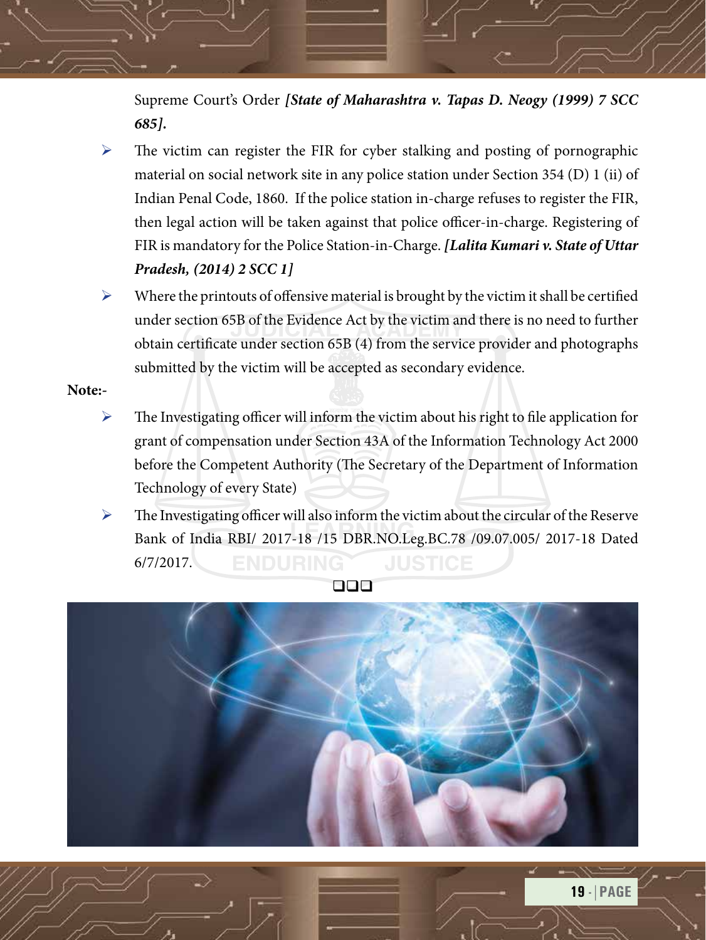Supreme Court's Order *[State of Maharashtra v. Tapas D. Neogy (1999) 7 SCC 685].*

- $\triangleright$  The victim can register the FIR for cyber stalking and posting of pornographic material on social network site in any police station under Section 354 (D) 1 (ii) of Indian Penal Code, 1860. If the police station in-charge refuses to register the FIR, then legal action will be taken against that police officer-in-charge. Registering of FIR is mandatory for the Police Station-in-Charge. *[Lalita Kumari v. State of Uttar Pradesh, (2014) 2 SCC 1]*
- $\triangleright$  Where the printouts of offensive material is brought by the victim it shall be certified under section 65B of the Evidence Act by the victim and there is no need to further obtain certificate under section 65B (4) from the service provider and photographs submitted by the victim will be accepted as secondary evidence.

#### **Note:-**

- $\triangleright$  The Investigating officer will inform the victim about his right to file application for grant of compensation under Section 43A of the Information Technology Act 2000 before the Competent Authority (The Secretary of the Department of Information Technology of every State)
- $\triangleright$  The Investigating officer will also inform the victim about the circular of the Reserve Bank of India RBI/ 2017-18 /15 DBR.NO.Leg.BC.78 /09.07.005/ 2017-18 Dated **ENDURING** 6/7/2017.



qqq